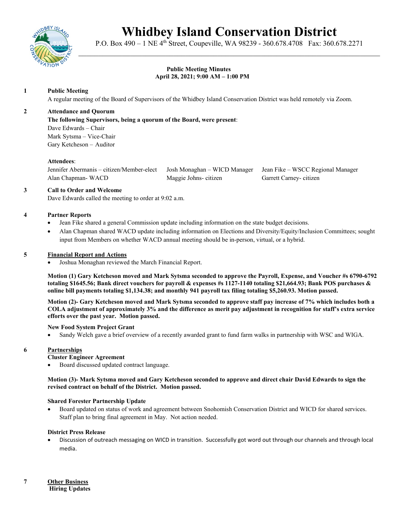

# **Whidbey Island Conservation District**

P.O. Box 490 – 1 NE 4th Street, Coupeville, WA 98239 - 360.678.4708 Fax: 360.678.2271 \_\_\_\_\_\_\_\_\_\_\_\_\_\_\_\_\_\_\_\_\_\_\_\_\_\_\_\_\_\_\_\_\_\_\_\_\_\_\_\_\_\_\_\_\_\_\_\_\_\_\_\_\_\_\_\_\_\_\_\_\_\_\_\_\_\_\_\_\_\_\_\_\_\_\_\_

# **Public Meeting Minutes April 28, 2021; 9:00 AM – 1:00 PM**

# **1 Public Meeting**

A regular meeting of the Board of Supervisors of the Whidbey Island Conservation District was held remotely via Zoom.

## **2 Attendance and Quorum**

## **The following Supervisors, being a quorum of the Board, were present**:

Dave Edwards – Chair Mark Sytsma – Vice-Chair Gary Ketcheson – Auditor

## **Attendees**:

Jennifer Abermanis – citizen/Member-elect Josh Monaghan – WICD Manager Jean Fike – WSCC Regional Manager Alan Chapman- WACD Maggie Johns- citizen Garrett Carney- citizen

## **3 Call to Order and Welcome**

Dave Edwards called the meeting to order at 9:02 a.m.

## **4 Partner Reports**

- Jean Fike shared a general Commission update including information on the state budget decisions.
- Alan Chapman shared WACD update including information on Elections and Diversity/Equity/Inclusion Committees; sought input from Members on whether WACD annual meeting should be in-person, virtual, or a hybrid.

## **5 Financial Report and Actions**

• Joshua Monaghan reviewed the March Financial Report.

**Motion (1) Gary Ketcheson moved and Mark Sytsma seconded to approve the Payroll, Expense, and Voucher #s 6790-6792 totaling \$1645.56; Bank direct vouchers for payroll & expenses #s 1127-1140 totaling \$21,664.93; Bank POS purchases & online bill payments totaling \$1,134.38; and monthly 941 payroll tax filing totaling \$5,260.93. Motion passed.** 

**Motion (2)- Gary Ketcheson moved and Mark Sytsma seconded to approve staff pay increase of 7% which includes both a COLA adjustment of approximately 3% and the difference as merit pay adjustment in recognition for staff's extra service efforts over the past year. Motion passed.**

### **New Food System Project Grant**

• Sandy Welch gave a brief overview of a recently awarded grant to fund farm walks in partnership with WSC and WIGA.

## **6 Partnerships**

**Cluster Engineer Agreement**

• Board discussed updated contract language.

**Motion (3)- Mark Sytsma moved and Gary Ketcheson seconded to approve and direct chair David Edwards to sign the revised contract on behalf of the District. Motion passed.**

## **Shared Forester Partnership Update**

• Board updated on status of work and agreement between Snohomish Conservation District and WICD for shared services. Staff plan to bring final agreement in May. Not action needed.

## **District Press Release**

• Discussion of outreach messaging on WICD in transition. Successfully got word out through our channels and through local media.